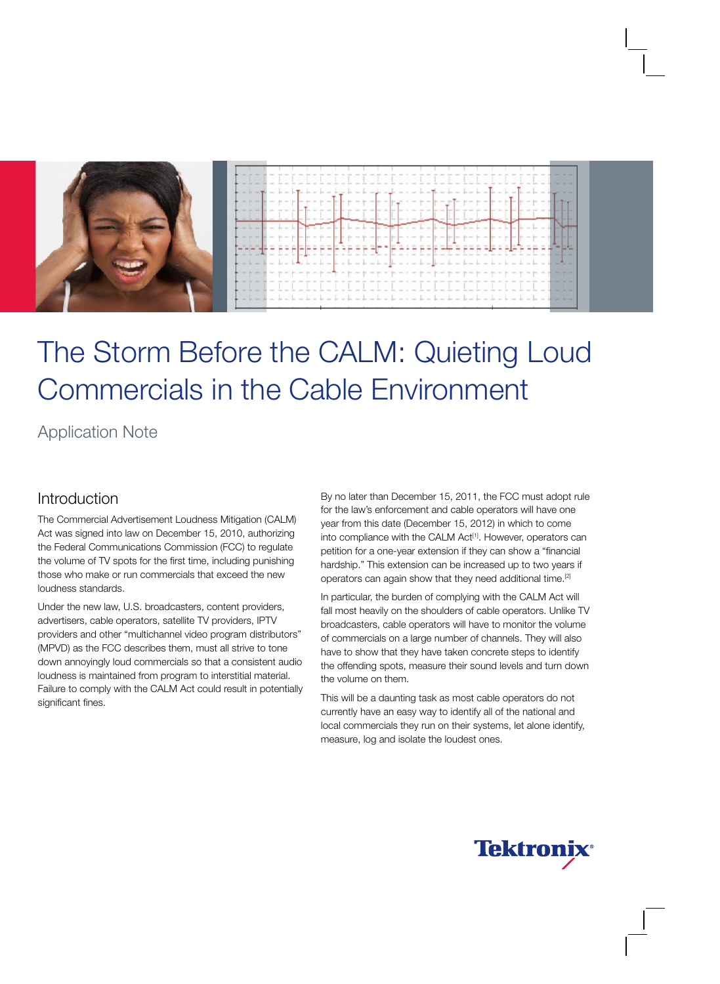

# The Storm Before the CALM: Quieting Loud Commercials in the Cable Environment

# Application Note

#### Introduction

The Commercial Advertisement Loudness Mitigation (CALM) Act was signed into law on December 15, 2010, authorizing the Federal Communications Commission (FCC) to regulate the volume of TV spots for the first time, including punishing those who make or run commercials that exceed the new loudness standards.

Under the new law, U.S. broadcasters, content providers, advertisers, cable operators, satellite TV providers, IPTV providers and other "multichannel video program distributors" (MPVD) as the FCC describes them, must all strive to tone down annoyingly loud commercials so that a consistent audio loudness is maintained from program to interstitial material. Failure to comply with the CALM Act could result in potentially significant fines.

By no later than December 15, 2011, the FCC must adopt rule for the law's enforcement and cable operators will have one year from this date (December 15, 2012) in which to come into compliance with the CALM Act<sup>[1]</sup>. However, operators can petition for a one-year extension if they can show a "financial hardship." This extension can be increased up to two years if operators can again show that they need additional time.[2]

In particular, the burden of complying with the CALM Act will fall most heavily on the shoulders of cable operators. Unlike TV broadcasters, cable operators will have to monitor the volume of commercials on a large number of channels. They will also have to show that they have taken concrete steps to identify the offending spots, measure their sound levels and turn down the volume on them.

This will be a daunting task as most cable operators do not currently have an easy way to identify all of the national and local commercials they run on their systems, let alone identify, measure, log and isolate the loudest ones.

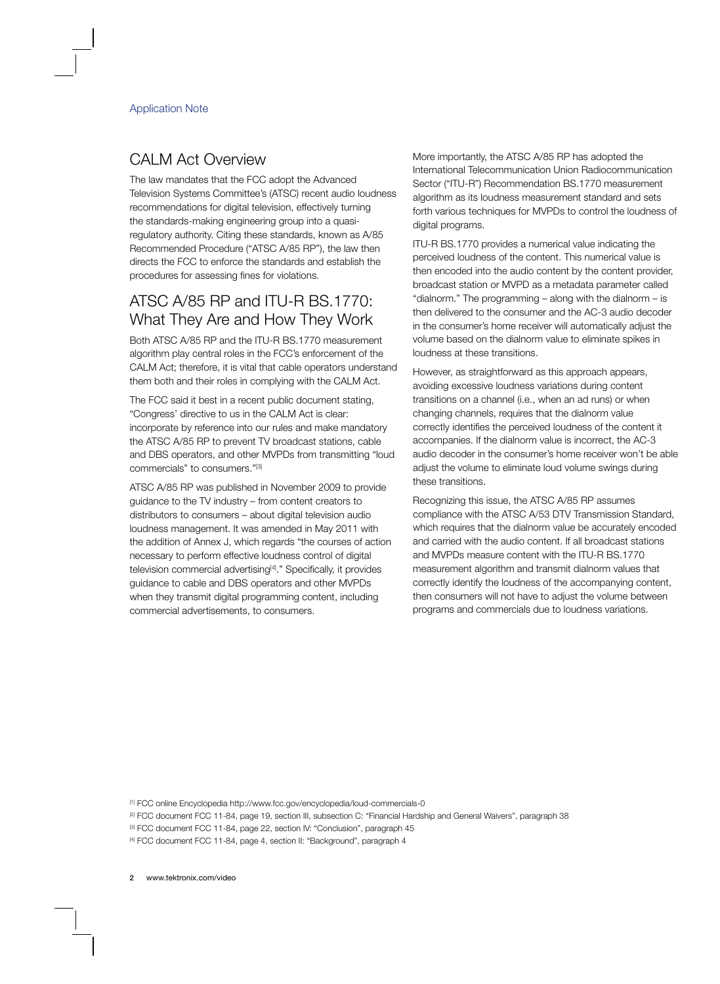### CALM Act Overview

The law mandates that the FCC adopt the Advanced Television Systems Committee's (ATSC) recent audio loudness recommendations for digital television, effectively turning the standards-making engineering group into a quasiregulatory authority. Citing these standards, known as A/85 Recommended Procedure ("ATSC A/85 RP"), the law then directs the FCC to enforce the standards and establish the procedures for assessing fines for violations.

#### ATSC A/85 RP and ITU-R BS.1770: What They Are and How They Work

Both ATSC A/85 RP and the ITU-R BS.1770 measurement algorithm play central roles in the FCC's enforcement of the CALM Act; therefore, it is vital that cable operators understand them both and their roles in complying with the CALM Act.

The FCC said it best in a recent public document stating, "Congress' directive to us in the CALM Act is clear: incorporate by reference into our rules and make mandatory the ATSC A/85 RP to prevent TV broadcast stations, cable and DBS operators, and other MVPDs from transmitting "loud commercials" to consumers."[3]

ATSC A/85 RP was published in November 2009 to provide guidance to the TV industry – from content creators to distributors to consumers – about digital television audio loudness management. It was amended in May 2011 with the addition of Annex J, which regards "the courses of action necessary to perform effective loudness control of digital television commercial advertising<sup>[4]</sup>." Specifically, it provides guidance to cable and DBS operators and other MVPDs when they transmit digital programming content, including commercial advertisements, to consumers.

More importantly, the ATSC A/85 RP has adopted the International Telecommunication Union Radiocommunication Sector ("ITU-R") Recommendation BS.1770 measurement algorithm as its loudness measurement standard and sets forth various techniques for MVPDs to control the loudness of digital programs.

ITU-R BS.1770 provides a numerical value indicating the perceived loudness of the content. This numerical value is then encoded into the audio content by the content provider, broadcast station or MVPD as a metadata parameter called "dialnorm." The programming – along with the dialnorm – is then delivered to the consumer and the AC-3 audio decoder in the consumer's home receiver will automatically adjust the volume based on the dialnorm value to eliminate spikes in loudness at these transitions.

However, as straightforward as this approach appears, avoiding excessive loudness variations during content transitions on a channel (i.e., when an ad runs) or when changing channels, requires that the dialnorm value correctly identifies the perceived loudness of the content it accompanies. If the dialnorm value is incorrect, the AC-3 audio decoder in the consumer's home receiver won't be able adjust the volume to eliminate loud volume swings during these transitions.

Recognizing this issue, the ATSC A/85 RP assumes compliance with the ATSC A/53 DTV Transmission Standard, which requires that the dialnorm value be accurately encoded and carried with the audio content. If all broadcast stations and MVPDs measure content with the ITU-R BS.1770 measurement algorithm and transmit dialnorm values that correctly identify the loudness of the accompanying content, then consumers will not have to adjust the volume between programs and commercials due to loudness variations.

[1] FCC online Encyclopedia http://www.fcc.gov/encyclopedia/loud-commercials-0

- [2] FCC document FCC 11-84, page 19, section III, subsection C: "Financial Hardship and General Waivers", paragraph 38
- [3] FCC document FCC 11-84, page 22, section IV: "Conclusion", paragraph 45

[4] FCC document FCC 11-84, page 4, section II: "Background", paragraph 4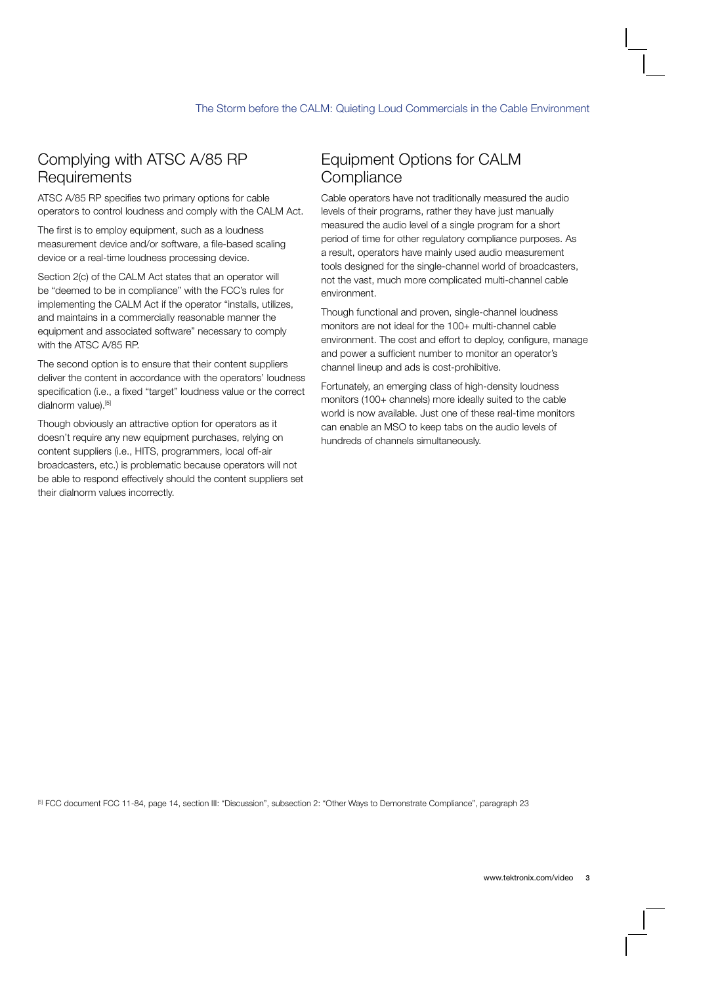### Complying with ATSC A/85 RP **Requirements**

ATSC A/85 RP specifies two primary options for cable operators to control loudness and comply with the CALM Act.

The first is to employ equipment, such as a loudness measurement device and/or software, a file-based scaling device or a real-time loudness processing device.

Section 2(c) of the CALM Act states that an operator will be "deemed to be in compliance" with the FCC's rules for implementing the CALM Act if the operator "installs, utilizes, and maintains in a commercially reasonable manner the equipment and associated software" necessary to comply with the ATSC A/85 RP.

The second option is to ensure that their content suppliers deliver the content in accordance with the operators' loudness specification (i.e., a fixed "target" loudness value or the correct dialnorm value).<sup>[5]</sup>

Though obviously an attractive option for operators as it doesn't require any new equipment purchases, relying on content suppliers (i.e., HITS, programmers, local off-air broadcasters, etc.) is problematic because operators will not be able to respond effectively should the content suppliers set their dialnorm values incorrectly.

### Equipment Options for CALM **Compliance**

Cable operators have not traditionally measured the audio levels of their programs, rather they have just manually measured the audio level of a single program for a short period of time for other regulatory compliance purposes. As a result, operators have mainly used audio measurement tools designed for the single-channel world of broadcasters, not the vast, much more complicated multi-channel cable environment.

Though functional and proven, single-channel loudness monitors are not ideal for the 100+ multi-channel cable environment. The cost and effort to deploy, configure, manage and power a sufficient number to monitor an operator's channel lineup and ads is cost-prohibitive.

Fortunately, an emerging class of high-density loudness monitors (100+ channels) more ideally suited to the cable world is now available. Just one of these real-time monitors can enable an MSO to keep tabs on the audio levels of hundreds of channels simultaneously.

<sup>[5]</sup> FCC document FCC 11-84, page 14, section III: "Discussion", subsection 2: "Other Ways to Demonstrate Compliance", paragraph 23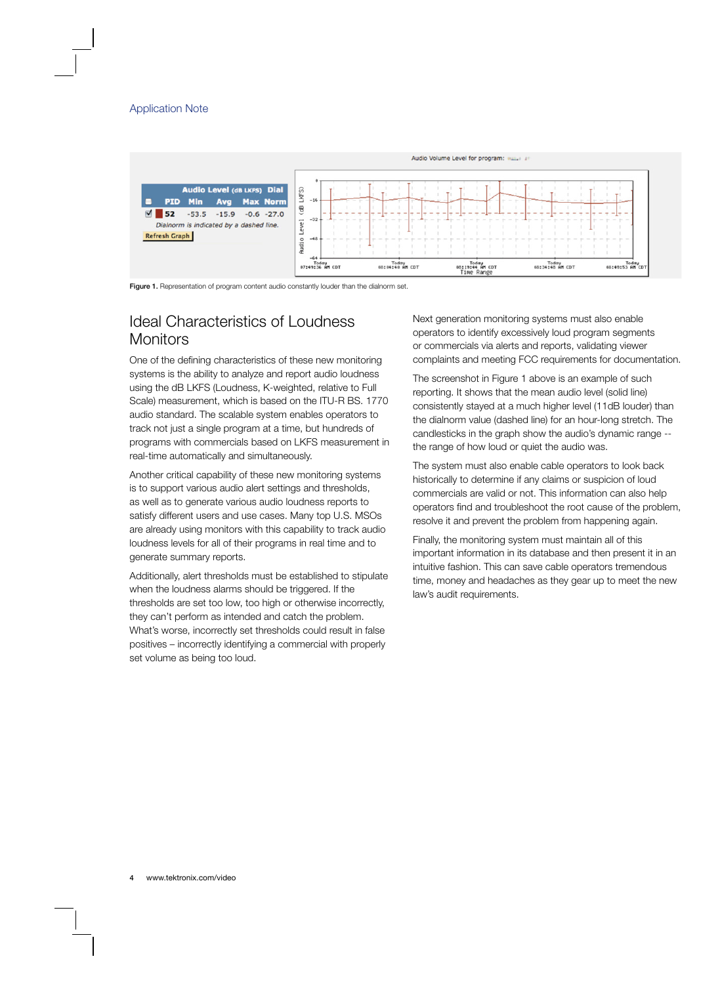

Figure 1. Representation of program content audio constantly louder than the dialnorm set.

#### Ideal Characteristics of Loudness Monitors

One of the defining characteristics of these new monitoring systems is the ability to analyze and report audio loudness using the dB LKFS (Loudness, K-weighted, relative to Full Scale) measurement, which is based on the ITU-R BS. 1770 audio standard. The scalable system enables operators to track not just a single program at a time, but hundreds of programs with commercials based on LKFS measurement in real-time automatically and simultaneously.

Another critical capability of these new monitoring systems is to support various audio alert settings and thresholds, as well as to generate various audio loudness reports to satisfy different users and use cases. Many top U.S. MSOs are already using monitors with this capability to track audio loudness levels for all of their programs in real time and to generate summary reports.

Additionally, alert thresholds must be established to stipulate when the loudness alarms should be triggered. If the thresholds are set too low, too high or otherwise incorrectly, they can't perform as intended and catch the problem. What's worse, incorrectly set thresholds could result in false positives – incorrectly identifying a commercial with properly set volume as being too loud.

Next generation monitoring systems must also enable operators to identify excessively loud program segments or commercials via alerts and reports, validating viewer complaints and meeting FCC requirements for documentation.

The screenshot in Figure 1 above is an example of such reporting. It shows that the mean audio level (solid line) consistently stayed at a much higher level (11dB louder) than the dialnorm value (dashed line) for an hour-long stretch. The candlesticks in the graph show the audio's dynamic range - the range of how loud or quiet the audio was.

The system must also enable cable operators to look back historically to determine if any claims or suspicion of loud commercials are valid or not. This information can also help operators find and troubleshoot the root cause of the problem, resolve it and prevent the problem from happening again.

Finally, the monitoring system must maintain all of this important information in its database and then present it in an intuitive fashion. This can save cable operators tremendous time, money and headaches as they gear up to meet the new law's audit requirements.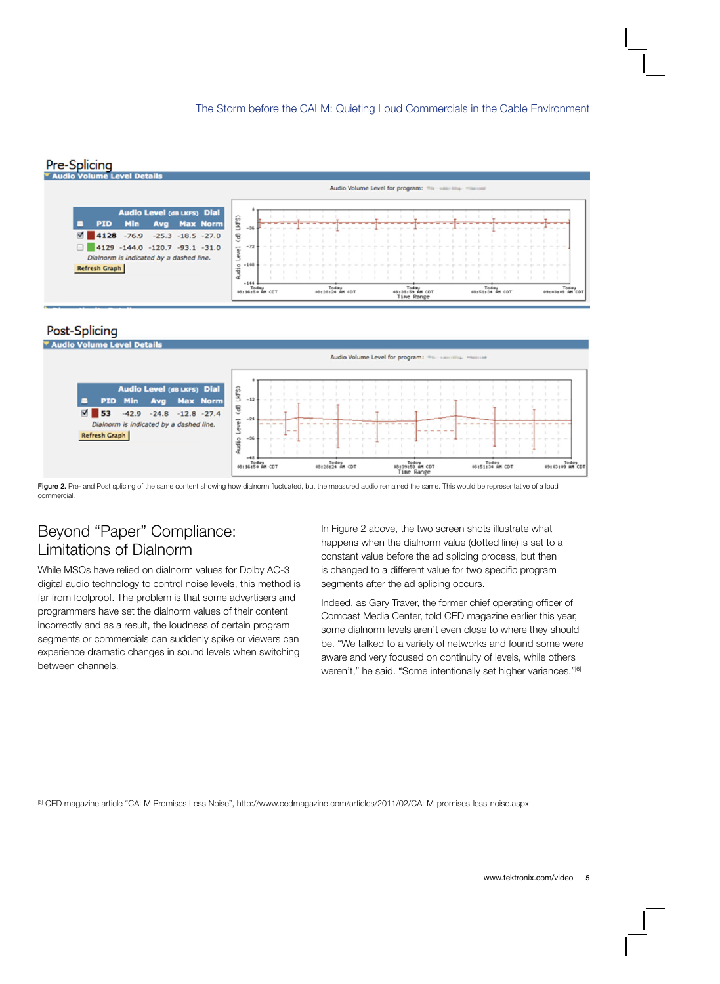#### Pre-Splicing



#### Post-Splicing



Figure 2. Pre- and Post splicing of the same content showing how dialnorm fluctuated, but the measured audio remained the same. This would be representative of a loud commercial.

#### Beyond "Paper" Compliance: Limitations of Dialnorm

While MSOs have relied on dialnorm values for Dolby AC-3 digital audio technology to control noise levels, this method is far from foolproof. The problem is that some advertisers and programmers have set the dialnorm values of their content incorrectly and as a result, the loudness of certain program segments or commercials can suddenly spike or viewers can experience dramatic changes in sound levels when switching between channels.

In Figure 2 above, the two screen shots illustrate what happens when the dialnorm value (dotted line) is set to a constant value before the ad splicing process, but then is changed to a different value for two specific program segments after the ad splicing occurs.

Indeed, as Gary Traver, the former chief operating officer of Comcast Media Center, told CED magazine earlier this year, some dialnorm levels aren't even close to where they should be. "We talked to a variety of networks and found some were aware and very focused on continuity of levels, while others weren't," he said. "Some intentionally set higher variances."<sup>[6]</sup>

[6] CED magazine article "CALM Promises Less Noise", http://www.cedmagazine.com/articles/2011/02/CALM-promises-less-noise.aspx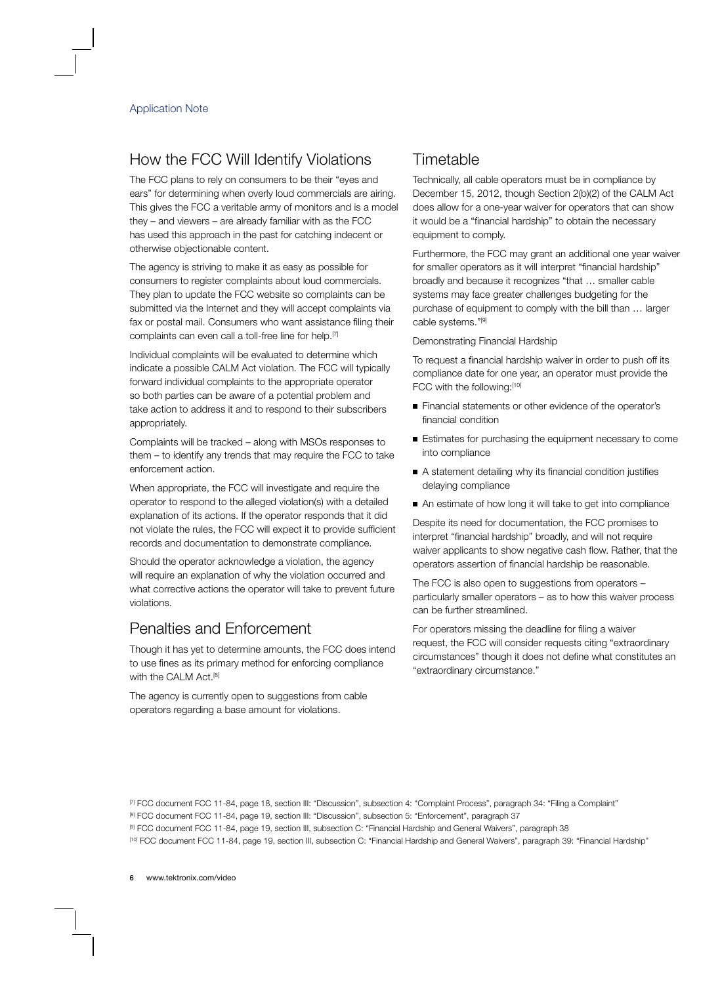## How the FCC Will Identify Violations

The FCC plans to rely on consumers to be their "eyes and ears" for determining when overly loud commercials are airing. This gives the FCC a veritable army of monitors and is a model they – and viewers – are already familiar with as the FCC has used this approach in the past for catching indecent or otherwise objectionable content.

The agency is striving to make it as easy as possible for consumers to register complaints about loud commercials. They plan to update the FCC website so complaints can be submitted via the Internet and they will accept complaints via fax or postal mail. Consumers who want assistance filing their complaints can even call a toll-free line for help.[7]

Individual complaints will be evaluated to determine which indicate a possible CALM Act violation. The FCC will typically forward individual complaints to the appropriate operator so both parties can be aware of a potential problem and take action to address it and to respond to their subscribers appropriately.

Complaints will be tracked – along with MSOs responses to them – to identify any trends that may require the FCC to take enforcement action.

When appropriate, the FCC will investigate and require the operator to respond to the alleged violation(s) with a detailed explanation of its actions. If the operator responds that it did not violate the rules, the FCC will expect it to provide sufficient records and documentation to demonstrate compliance.

Should the operator acknowledge a violation, the agency will require an explanation of why the violation occurred and what corrective actions the operator will take to prevent future violations.

#### Penalties and Enforcement

Though it has yet to determine amounts, the FCC does intend to use fines as its primary method for enforcing compliance with the CALM Act.<sup>[8]</sup>

The agency is currently open to suggestions from cable operators regarding a base amount for violations.

#### Timetable

Technically, all cable operators must be in compliance by December 15, 2012, though Section 2(b)(2) of the CALM Act does allow for a one-year waiver for operators that can show it would be a "financial hardship" to obtain the necessary equipment to comply.

Furthermore, the FCC may grant an additional one year waiver for smaller operators as it will interpret "financial hardship" broadly and because it recognizes "that … smaller cable systems may face greater challenges budgeting for the purchase of equipment to comply with the bill than … larger cable systems."[9]

Demonstrating Financial Hardship

To request a financial hardship waiver in order to push off its compliance date for one year, an operator must provide the FCC with the following:[10]

- Financial statements or other evidence of the operator's financial condition
- Estimates for purchasing the equipment necessary to come into compliance
- A statement detailing why its financial condition justifies delaying compliance
- An estimate of how long it will take to get into compliance

Despite its need for documentation, the FCC promises to interpret "financial hardship" broadly, and will not require waiver applicants to show negative cash flow. Rather, that the operators assertion of financial hardship be reasonable.

The FCC is also open to suggestions from operators – particularly smaller operators – as to how this waiver process can be further streamlined.

For operators missing the deadline for filing a waiver request, the FCC will consider requests citing "extraordinary circumstances" though it does not define what constitutes an "extraordinary circumstance."

<sup>[7]</sup> FCC document FCC 11-84, page 18, section III: "Discussion", subsection 4: "Complaint Process", paragraph 34: "Filing a Complaint"

<sup>[8]</sup> FCC document FCC 11-84, page 19, section III: "Discussion", subsection 5: "Enforcement", paragraph 37

<sup>[9]</sup> FCC document FCC 11-84, page 19, section III, subsection C: "Financial Hardship and General Waivers", paragraph 38

<sup>[10]</sup> FCC document FCC 11-84, page 19, section III, subsection C: "Financial Hardship and General Waivers", paragraph 39: "Financial Hardship"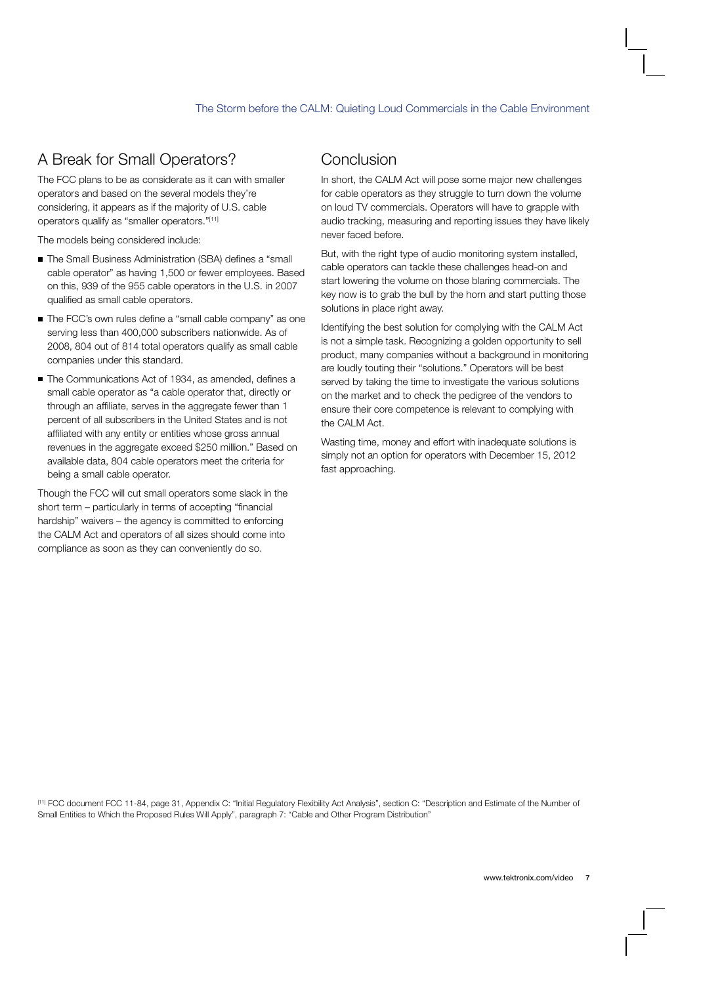# A Break for Small Operators?

The FCC plans to be as considerate as it can with smaller operators and based on the several models they're considering, it appears as if the majority of U.S. cable operators qualify as "smaller operators."[11]

The models being considered include:

- The Small Business Administration (SBA) defines a "small cable operator" as having 1,500 or fewer employees. Based on this, 939 of the 955 cable operators in the U.S. in 2007 qualified as small cable operators.
- The FCC's own rules define a "small cable company" as one serving less than 400,000 subscribers nationwide. As of 2008, 804 out of 814 total operators qualify as small cable companies under this standard.
- The Communications Act of 1934, as amended, defines a small cable operator as "a cable operator that, directly or through an affiliate, serves in the aggregate fewer than 1 percent of all subscribers in the United States and is not affiliated with any entity or entities whose gross annual revenues in the aggregate exceed \$250 million." Based on available data, 804 cable operators meet the criteria for being a small cable operator.

Though the FCC will cut small operators some slack in the short term – particularly in terms of accepting "financial hardship" waivers – the agency is committed to enforcing the CALM Act and operators of all sizes should come into compliance as soon as they can conveniently do so.

#### Conclusion

In short, the CALM Act will pose some major new challenges for cable operators as they struggle to turn down the volume on loud TV commercials. Operators will have to grapple with audio tracking, measuring and reporting issues they have likely never faced before.

But, with the right type of audio monitoring system installed, cable operators can tackle these challenges head-on and start lowering the volume on those blaring commercials. The key now is to grab the bull by the horn and start putting those solutions in place right away.

Identifying the best solution for complying with the CALM Act is not a simple task. Recognizing a golden opportunity to sell product, many companies without a background in monitoring are loudly touting their "solutions." Operators will be best served by taking the time to investigate the various solutions on the market and to check the pedigree of the vendors to ensure their core competence is relevant to complying with the CALM Act.

Wasting time, money and effort with inadequate solutions is simply not an option for operators with December 15, 2012 fast approaching.

[11] FCC document FCC 11-84, page 31, Appendix C: "Initial Regulatory Flexibility Act Analysis", section C: "Description and Estimate of the Number of Small Entities to Which the Proposed Rules Will Apply", paragraph 7: "Cable and Other Program Distribution"